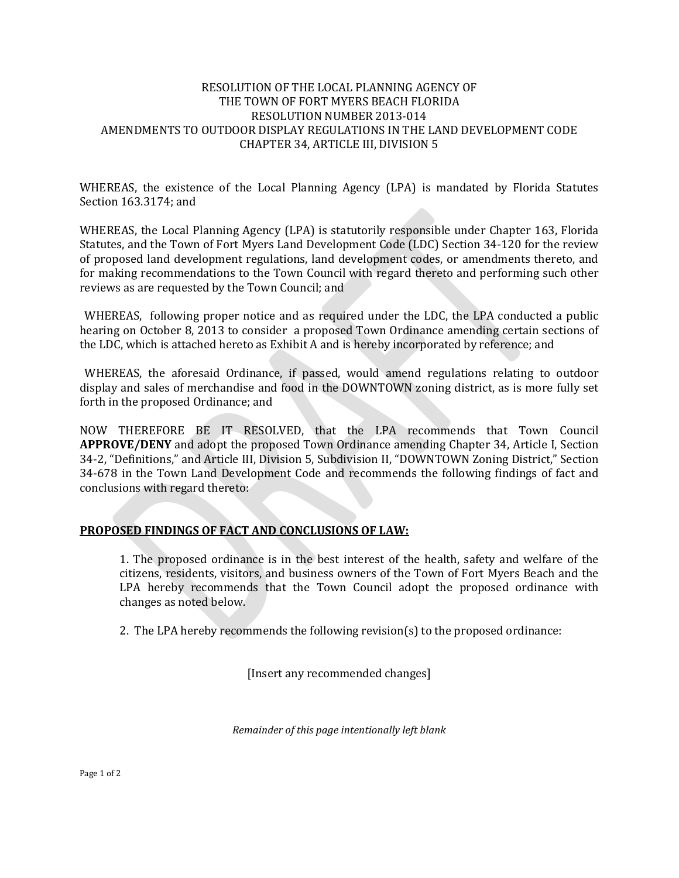### RESOLUTION OF THE LOCAL PLANNING AGENCY OF THE TOWN OF FORT MYERS BEACH FLORIDA RESOLUTION NUMBER 2013-014 AMENDMENTS TO OUTDOOR DISPLAY REGULATIONS IN THE LAND DEVELOPMENT CODE CHAPTER 34, ARTICLE III, DIVISION 5

WHEREAS, the existence of the Local Planning Agency (LPA) is mandated by Florida Statutes Section 163.3174; and

WHEREAS, the Local Planning Agency (LPA) is statutorily responsible under Chapter 163, Florida Statutes, and the Town of Fort Myers Land Development Code (LDC) Section 34-120 for the review of proposed land development regulations, land development codes, or amendments thereto, and for making recommendations to the Town Council with regard thereto and performing such other reviews as are requested by the Town Council; and

WHEREAS, following proper notice and as required under the LDC, the LPA conducted a public hearing on October 8, 2013 to consider a proposed Town Ordinance amending certain sections of the LDC, which is attached hereto as Exhibit A and is hereby incorporated by reference; and

WHEREAS, the aforesaid Ordinance, if passed, would amend regulations relating to outdoor display and sales of merchandise and food in the DOWNTOWN zoning district, as is more fully set forth in the proposed Ordinance; and

NOW THEREFORE BE IT RESOLVED, that the LPA recommends that Town Council **APPROVE/DENY** and adopt the proposed Town Ordinance amending Chapter 34, Article I, Section 34-2, "Definitions," and Article III, Division 5, Subdivision II, "DOWNTOWN Zoning District," Section 34-678 in the Town Land Development Code and recommends the following findings of fact and conclusions with regard thereto:

## **PROPOSED FINDINGS OF FACT AND CONCLUSIONS OF LAW:**

1. The proposed ordinance is in the best interest of the health, safety and welfare of the citizens, residents, visitors, and business owners of the Town of Fort Myers Beach and the LPA hereby recommends that the Town Council adopt the proposed ordinance with changes as noted below.

2. The LPA hereby recommends the following revision(s) to the proposed ordinance:

[Insert any recommended changes]

*Remainder of this page intentionally left blank*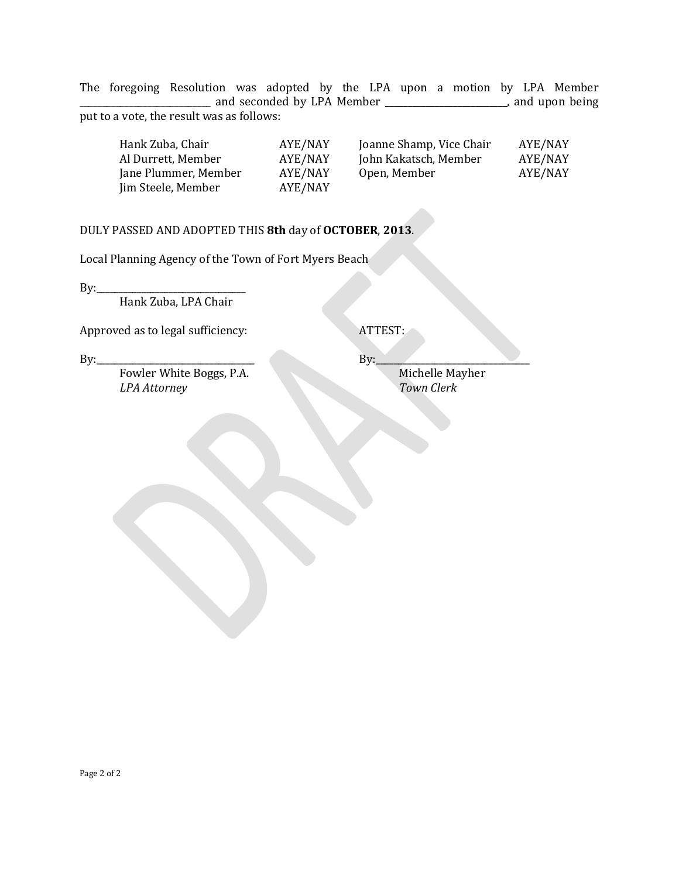The foregoing Resolution was adopted by the LPA upon a motion by LPA Member \_\_\_\_\_\_\_\_\_\_\_\_\_\_\_\_\_\_\_\_\_\_\_\_\_\_\_\_\_ and seconded by LPA Member **\_\_\_\_\_\_\_\_\_\_\_\_\_\_\_\_\_\_\_\_\_\_\_\_\_\_\_**, and upon being put to a vote, the result was as follows:

| AYE/NAY |
|---------|
| AYE/NAY |
| AYE/NAY |
|         |
|         |

## DULY PASSED AND ADOPTED THIS **8th** day of **OCTOBER**, **2013**.

Local Planning Agency of the Town of Fort Myers Beach

By:\_\_\_\_\_\_\_\_\_\_\_\_\_\_\_\_\_\_\_\_\_\_\_\_\_\_\_\_\_\_\_\_\_ Hank Zuba, LPA Chair

Approved as to legal sufficiency: ATTEST:

Fowler White Boggs, P.A. Michelle Mayher *LPA Attorney Town Clerk*

By:\_\_\_\_\_\_\_\_\_\_\_\_\_\_\_\_\_\_\_\_\_\_\_\_\_\_\_\_\_\_\_\_\_\_\_ By:\_\_\_\_\_\_\_\_\_\_\_\_\_\_\_\_\_\_\_\_\_\_\_\_\_\_\_\_\_\_\_\_\_\_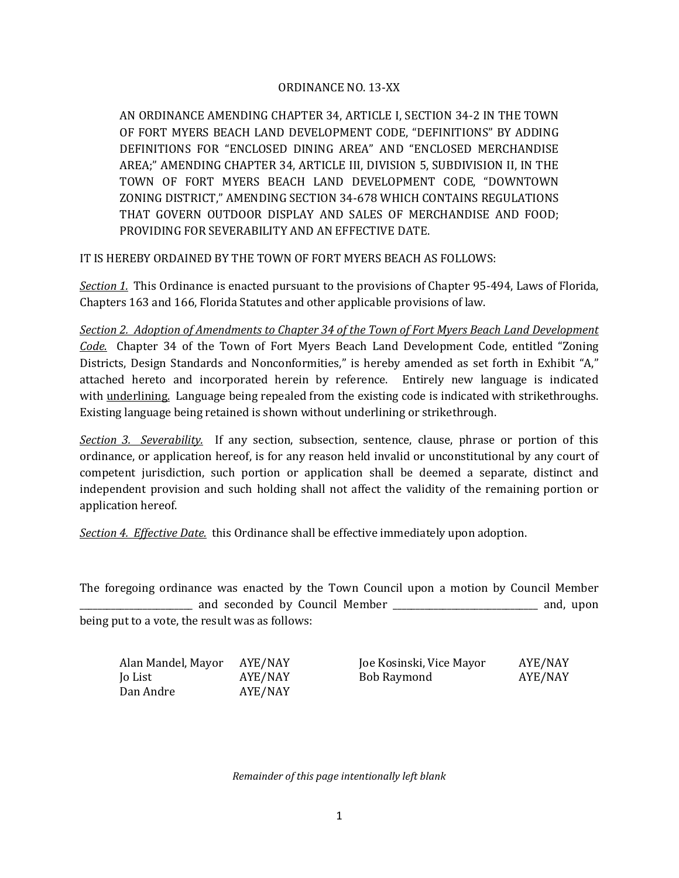## ORDINANCE NO. 13-XX

AN ORDINANCE AMENDING CHAPTER 34, ARTICLE I, SECTION 34-2 IN THE TOWN OF FORT MYERS BEACH LAND DEVELOPMENT CODE, "DEFINITIONS" BY ADDING DEFINITIONS FOR "ENCLOSED DINING AREA" AND "ENCLOSED MERCHANDISE AREA;" AMENDING CHAPTER 34, ARTICLE III, DIVISION 5, SUBDIVISION II, IN THE TOWN OF FORT MYERS BEACH LAND DEVELOPMENT CODE, "DOWNTOWN ZONING DISTRICT," AMENDING SECTION 34-678 WHICH CONTAINS REGULATIONS THAT GOVERN OUTDOOR DISPLAY AND SALES OF MERCHANDISE AND FOOD; PROVIDING FOR SEVERABILITY AND AN EFFECTIVE DATE.

IT IS HEREBY ORDAINED BY THE TOWN OF FORT MYERS BEACH AS FOLLOWS:

*Section 1.* This Ordinance is enacted pursuant to the provisions of Chapter 95-494, Laws of Florida, Chapters 163 and 166, Florida Statutes and other applicable provisions of law.

*Section 2. Adoption of Amendments to Chapter 34 of the Town of Fort Myers Beach Land Development Code.* Chapter 34 of the Town of Fort Myers Beach Land Development Code, entitled "Zoning Districts, Design Standards and Nonconformities," is hereby amended as set forth in Exhibit "A," attached hereto and incorporated herein by reference. Entirely new language is indicated with underlining. Language being repealed from the existing code is indicated with strikethroughs. Existing language being retained is shown without underlining or strikethrough.

*Section 3. Severability.* If any section, subsection, sentence, clause, phrase or portion of this ordinance, or application hereof, is for any reason held invalid or unconstitutional by any court of competent jurisdiction, such portion or application shall be deemed a separate, distinct and independent provision and such holding shall not affect the validity of the remaining portion or application hereof.

*Section 4. Effective Date.* this Ordinance shall be effective immediately upon adoption.

The foregoing ordinance was enacted by the Town Council upon a motion by Council Member and seconded by Council Member **and seconded** by Council Member **and** and, upon being put to a vote, the result was as follows:

| Alan Mandel, Mayor | AYE/NAY |
|--------------------|---------|
| Jo List            | AYE/NAY |
| Dan Andre          | AYE/NAY |

Joe Kosinski, Vice Mayor AYE/NAY<br>Bob Raymond AYE/NAY Bob Raymond

*Remainder of this page intentionally left blank*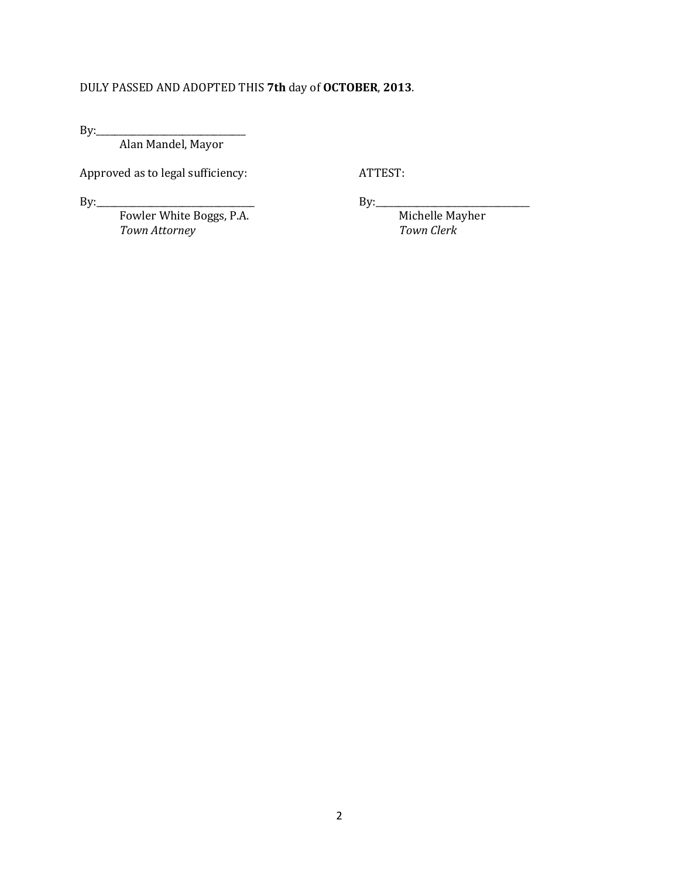# DULY PASSED AND ADOPTED THIS **7th** day of **OCTOBER**, **2013**.

By:\_\_\_\_\_\_\_\_\_\_\_\_\_\_\_\_\_\_\_\_\_\_\_\_\_\_\_\_\_\_\_\_\_

Alan Mandel, Mayor

Approved as to legal sufficiency: ATTEST:

By:\_\_\_\_\_\_\_\_\_\_\_\_\_\_\_\_\_\_\_\_\_\_\_\_\_\_\_\_\_\_\_\_\_\_\_ By:\_\_\_\_\_\_\_\_\_\_\_\_\_\_\_\_\_\_\_\_\_\_\_\_\_\_\_\_\_\_\_\_\_\_ Fowler White Boggs, P.A. Michelle Mayher *Town Attorney Town Clerk*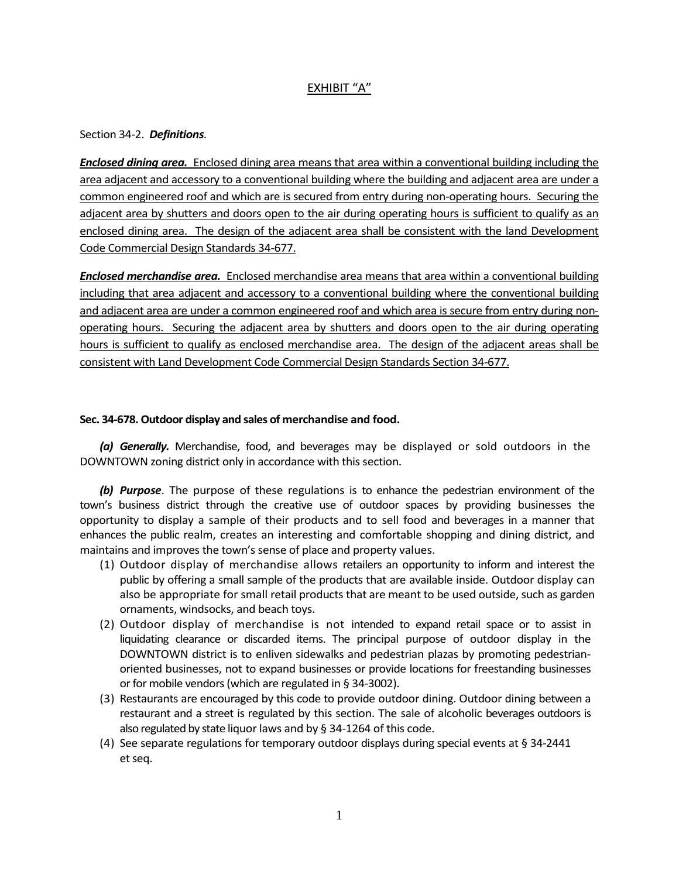## EXHIBIT "A"

### Section 34-2. *Definitions*.

*Enclosed dining area.* Enclosed dining area means that area within a conventional building including the area adjacent and accessory to a conventional building where the building and adjacent area are under a common engineered roof and which are is secured from entry during non-operating hours. Securing the adjacent area by shutters and doors open to the air during operating hours is sufficient to qualify as an enclosed dining area. The design of the adjacent area shall be consistent with the land Development Code Commercial Design Standards 34-677.

*Enclosed merchandise area.* Enclosed merchandise area means that area within a conventional building including that area adjacent and accessory to a conventional building where the conventional building and adjacent area are under a common engineered roof and which area is secure from entry during nonoperating hours. Securing the adjacent area by shutters and doors open to the air during operating hours is sufficient to qualify as enclosed merchandise area. The design of the adjacent areas shall be consistent with Land Development Code Commercial Design Standards Section 34-677.

### **Sec. 34-678. Outdoor display and sales of merchandise and food.**

*(a) Generally.* Merchandise, food, and beverages may be displayed or sold outdoors in the DOWNTOWN zoning district only in accordance with this section.

*(b) Purpose*. The purpose of these regulations is to enhance the pedestrian environment of the town's business district through the creative use of outdoor spaces by providing businesses the opportunity to display a sample of their products and to sell food and beverages in a manner that enhances the public realm, creates an interesting and comfortable shopping and dining district, and maintains and improves the town's sense of place and property values.

- (1) Outdoor display of merchandise allows retailers an opportunity to inform and interest the public by offering a small sample of the products that are available inside. Outdoor display can also be appropriate for small retail products that are meant to be used outside, such as garden ornaments, windsocks, and beach toys.
- (2) Outdoor display of merchandise is not intended to expand retail space or to assist in liquidating clearance or discarded items. The principal purpose of outdoor display in the DOWNTOWN district is to enliven sidewalks and pedestrian plazas by promoting pedestrianoriented businesses, not to expand businesses or provide locations for freestanding businesses or for mobile vendors (which are regulated in § 34-3002).
- (3) Restaurants are encouraged by this code to provide outdoor dining. Outdoor dining between a restaurant and a street is regulated by this section. The sale of alcoholic beverages outdoors is also regulated by state liquor laws and by § 34-1264 of this code.
- (4) See separate regulations for temporary outdoor displays during special events at § 34-2441 et seq.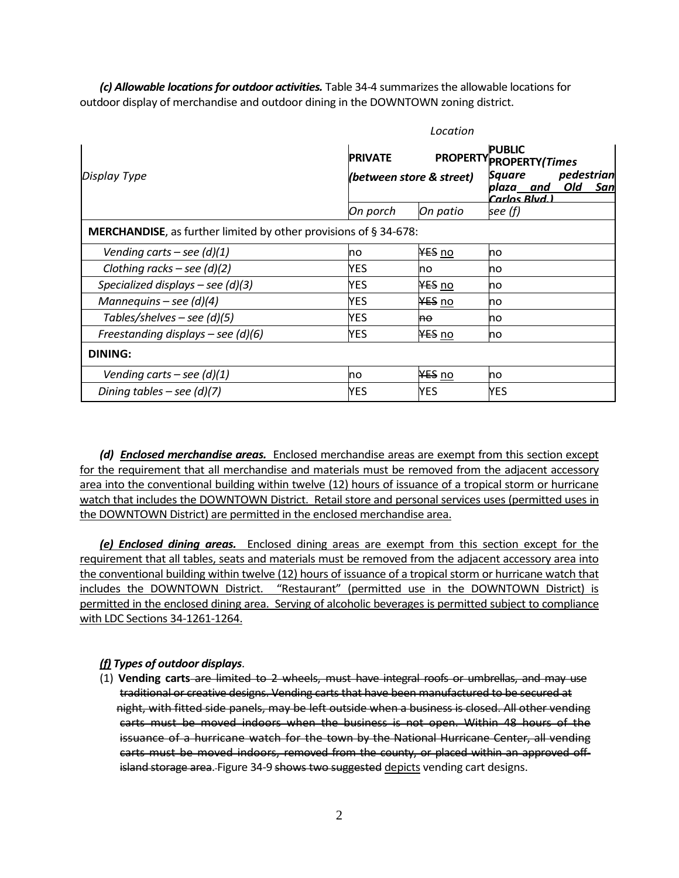*(c) Allowable locations for outdoor activities.* Table 34-4 summarizes the allowable locations for outdoor display of merchandise and outdoor dining in the DOWNTOWN zoning district.

| Location                                                         |                |                          |                                                                                                                        |  |
|------------------------------------------------------------------|----------------|--------------------------|------------------------------------------------------------------------------------------------------------------------|--|
| Display Type                                                     | <b>PRIVATE</b> | (between store & street) | <b>PUBLIC</b><br><b>PROPERTY PROPERTY (Times</b><br>pedestrian<br>Square<br>plaza___and<br>Old<br>San<br>Carlos Blvd.) |  |
|                                                                  | On porch       | On patio                 | see (f)                                                                                                                |  |
| MERCHANDISE, as further limited by other provisions of § 34-678: |                |                          |                                                                                                                        |  |
| Vending carts – see (d)(1)                                       | <b>no</b>      | <del>YES</del> no        | no                                                                                                                     |  |
| Clothing racks – see $(d)(2)$                                    | YES            | no                       | no                                                                                                                     |  |
| Specialized displays – see $(d)(3)$                              | YES            | YES no                   | no                                                                                                                     |  |
| Mannequins – see $(d)(4)$                                        | YES            | YES no                   | no                                                                                                                     |  |
| Tables/shelves – see (d)(5)                                      | <b>YES</b>     | ne.                      | <b>no</b>                                                                                                              |  |
| Freestanding displays – see (d)(6)                               | YES            | YES no                   | no                                                                                                                     |  |
| <b>DINING:</b>                                                   |                |                          |                                                                                                                        |  |
| Vending carts – see $(d)(1)$                                     | <b>no</b>      | <del>YES</del> no        | <b>no</b>                                                                                                              |  |
| Dining tables - see $(d)(7)$                                     | YES            | YES                      | <b>YES</b>                                                                                                             |  |

*(d) Enclosed merchandise areas.* Enclosed merchandise areas are exempt from this section except for the requirement that all merchandise and materials must be removed from the adjacent accessory area into the conventional building within twelve (12) hours of issuance of a tropical storm or hurricane watch that includes the DOWNTOWN District. Retail store and personal services uses (permitted uses in the DOWNTOWN District) are permitted in the enclosed merchandise area.

*(e) Enclosed dining areas.* Enclosed dining areas are exempt from this section except for the requirement that all tables, seats and materials must be removed from the adjacent accessory area into the conventional building within twelve (12) hours of issuance of a tropical storm or hurricane watch that includes the DOWNTOWN District. "Restaurant" (permitted use in the DOWNTOWN District) is permitted in the enclosed dining area. Serving of alcoholic beverages is permitted subject to compliance with LDC Sections 34-1261-1264.

### *(f) Types of outdoor displays*.

(1) **Vending carts** are limited to 2 wheels, must have integral roofs or umbrellas, and may use traditional or creative designs. Vending carts that have been manufactured to be secured at night, with fitted side panels, may be left outside when a business is closed. All other vending carts must be moved indoors when the business is not open. Within 48 hours of the issuance of a hurricane watch for the town by the National Hurricane Center, all vending carts must be moved indoors, removed from the county, or placed within an approved offisland storage area. Figure 34-9 shows two suggested depicts vending cart designs.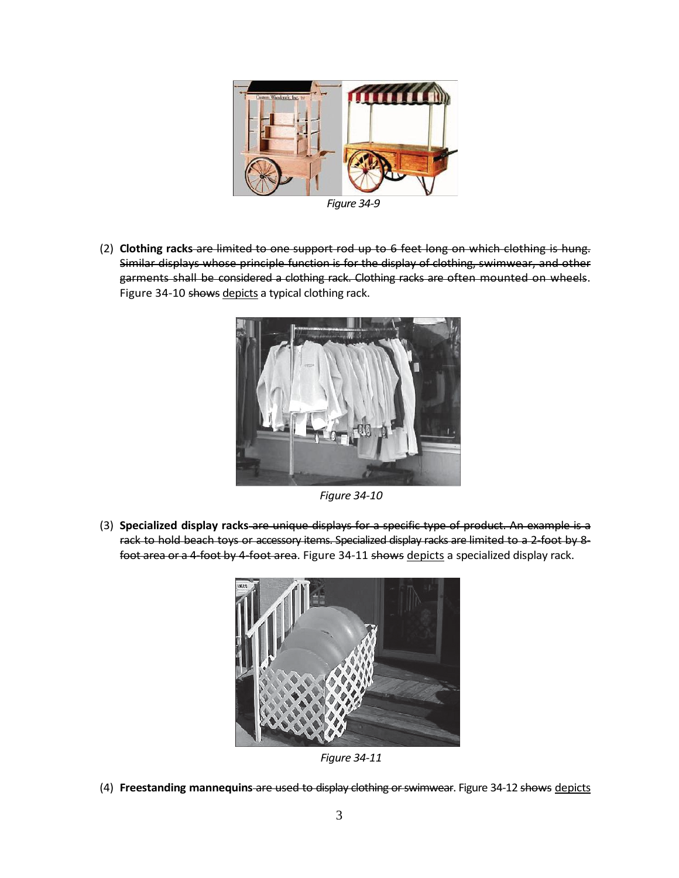

*Figure 34-9*

(2) **Clothing racks** are limited to one support rod up to 6 feet long on which clothing is hung. Similar displays whose principle function is for the display of clothing, swimwear, and other garments shall be considered a clothing rack. Clothing racks are often mounted on wheels. Figure 34-10 shows depicts a typical clothing rack.



*Figure 34-10*

(3) **Specialized display racks** are unique displays for a specific type of product. An example is a rack to hold beach toys or accessory items. Specialized display racks are limited to a 2-foot by 8 foot area or a 4-foot by 4-foot area. Figure 34-11 shows depicts a specialized display rack.



*Figure 34-11*

(4) **Freestanding mannequins** are used to display clothing or swimwear. Figure 34-12 shows depicts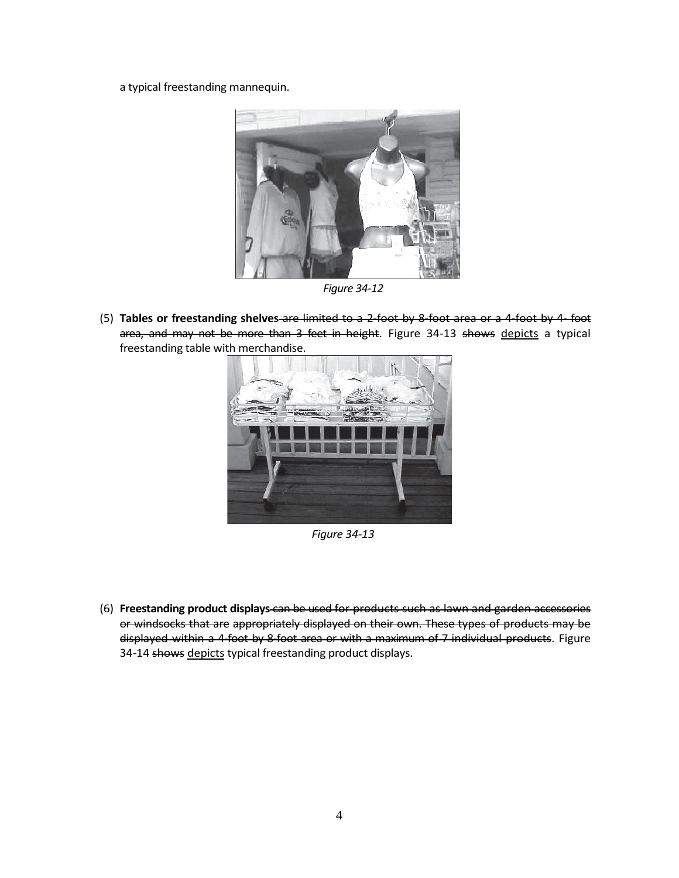a typical freestanding mannequin.



*Figure 34-12*

(5) **Tables or freestanding shelves** are limited to a 2-foot by 8-foot area or a 4-foot by 4- foot area, and may not be more than 3 feet in height. Figure 34-13 shows depicts a typical freestanding table with merchandise.



*Figure 34-13*

(6) **Freestanding product displays** can be used for products such as lawn and garden accessories or windsocks that are appropriately displayed on their own. These types of products may be displayed within a 4-foot by 8-foot area or with a maximum of 7 individual products. Figure 34-14 shows depicts typical freestanding product displays.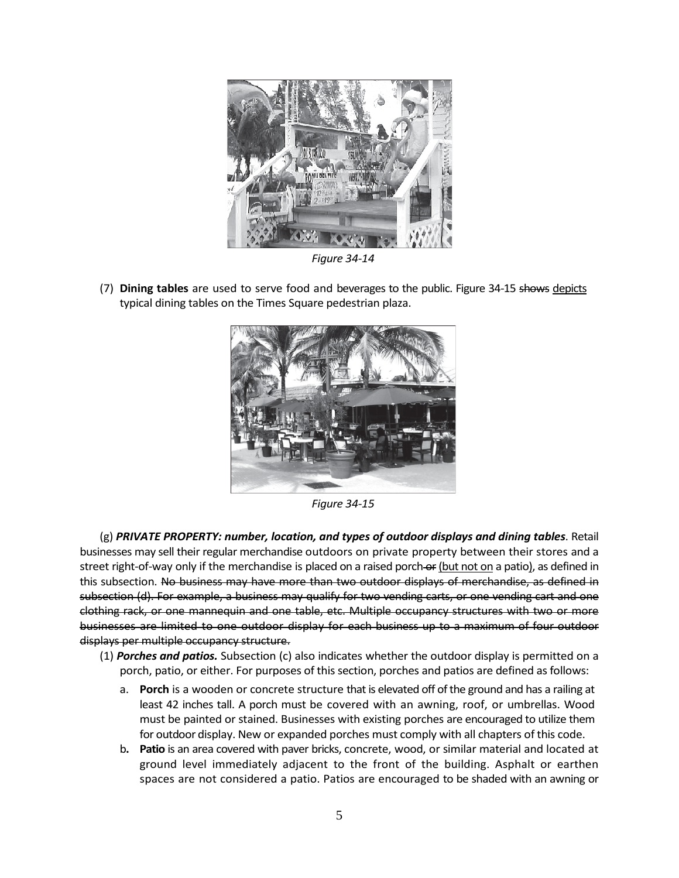

*Figure 34-14*

(7) **Dining tables** are used to serve food and beverages to the public. Figure 34-15 shows depicts typical dining tables on the Times Square pedestrian plaza.



*Figure 34-15*

(g) *PRIVATE PROPERTY: number, location, and types of outdoor displays and dining tables*. Retail businesses may sell their regular merchandise outdoors on private property between their stores and a street right-of-way only if the merchandise is placed on a raised porch-or (but not on a patio), as defined in this subsection. No business may have more than two outdoor displays of merchandise, as defined in subsection (d). For example, a business may qualify for two vending carts, or one vending cart and one clothing rack, or one mannequin and one table, etc. Multiple occupancy structures with two or more businesses are limited to one outdoor display for each business up to a maximum of four outdoor displays per multiple occupancy structure.

- (1) *Porches and patios.* Subsection (c) also indicates whether the outdoor display is permitted on a porch, patio, or either. For purposes of this section, porches and patios are defined as follows:
	- a. **Porch** is a wooden or concrete structure that is elevated off of the ground and has a railing at least 42 inches tall. A porch must be covered with an awning, roof, or umbrellas. Wood must be painted or stained. Businesses with existing porches are encouraged to utilize them for outdoor display. New or expanded porches must comply with all chapters of this code.
	- b**. Patio** is an area covered with paver bricks, concrete, wood, or similar material and located at ground level immediately adjacent to the front of the building. Asphalt or earthen spaces are not considered a patio. Patios are encouraged to be shaded with an awning or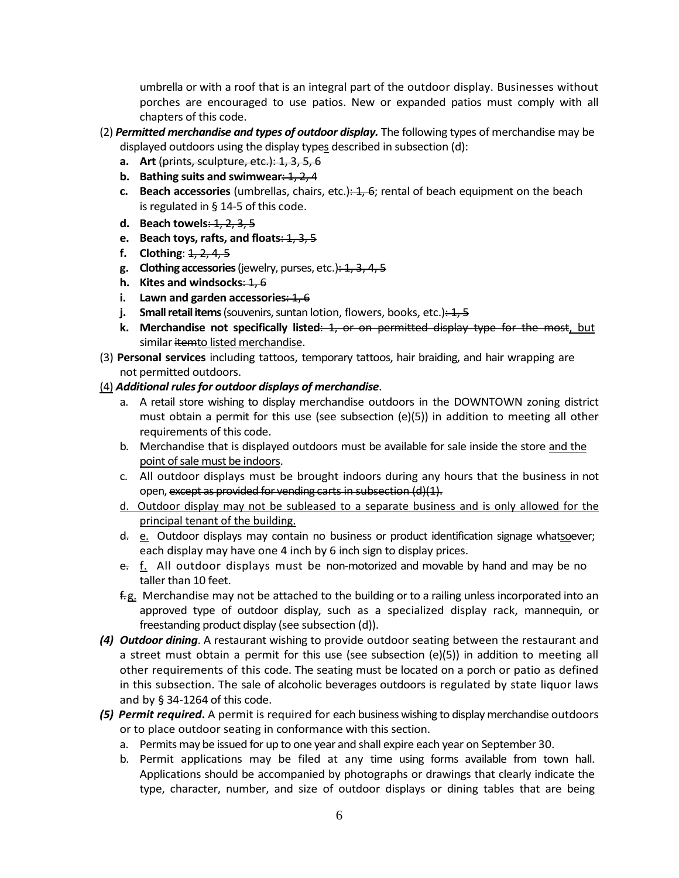umbrella or with a roof that is an integral part of the outdoor display. Businesses without porches are encouraged to use patios. New or expanded patios must comply with all chapters of this code.

- (2) *Permitted merchandise and types of outdoor display.* The following types of merchandise may be displayed outdoors using the display types described in subsection (d):
	- **a. Art** (prints, sculpture, etc.): 1, 3, 5, 6
	- **b.** Bathing suits and swimwear: 1, 2, 4
	- **c.** Beach accessories (umbrellas, chairs, etc.): 1, 6; rental of beach equipment on the beach is regulated in § 14-5 of this code.
	- **d. Beach towels**: 1, 2, 3, 5
	- **e.** Beach toys, rafts, and floats: 1, 3, 5
	- **f. Clothing**: 1, 2, 4, 5
	- **g. Clothing accessories**(jewelry, purses, etc.): 1, 3, 4, 5
	- **h. Kites and windsocks**: 1, 6
	- **i.** Lawn and garden accessories: 1, 6
	- **j. Small retail items** (souvenirs, suntan lotion, flowers, books, etc.): 1, 5
	- **k. Merchandise not specifically listed**: 1, or on permitted display type for the most, but similar itemto listed merchandise.
- (3) **Personal services** including tattoos, temporary tattoos, hair braiding, and hair wrapping are not permitted outdoors.
- (4) *Additional rules for outdoor displays of merchandise*.
	- a. A retail store wishing to display merchandise outdoors in the DOWNTOWN zoning district must obtain a permit for this use (see subsection  $(e)(5)$ ) in addition to meeting all other requirements of this code.
	- b. Merchandise that is displayed outdoors must be available for sale inside the store and the point of sale must be indoors.
	- c. All outdoor displays must be brought indoors during any hours that the business in not open, except as provided for vending carts in subsection (d)(1).
	- d. Outdoor display may not be subleased to a separate business and is only allowed for the principal tenant of the building.
	- d. e. Outdoor displays may contain no business or product identification signage whatsoever; each display may have one 4 inch by 6 inch sign to display prices.
	- $e$ . f. All outdoor displays must be non-motorized and movable by hand and may be no taller than 10 feet.
	- f.g. Merchandise may not be attached to the building or to a railing unless incorporated into an approved type of outdoor display, such as a specialized display rack, mannequin, or freestanding product display (see subsection (d)).
- *(4) Outdoor dining*. A restaurant wishing to provide outdoor seating between the restaurant and a street must obtain a permit for this use (see subsection (e)(5)) in addition to meeting all other requirements of this code. The seating must be located on a porch or patio as defined in this subsection. The sale of alcoholic beverages outdoors is regulated by state liquor laws and by § 34-1264 of this code.
- *(5) Permit required***.** A permit is required for each business wishing to display merchandise outdoors or to place outdoor seating in conformance with this section.
	- a. Permits may be issued for up to one year and shall expire each year on September 30.
	- b. Permit applications may be filed at any time using forms available from town hall. Applications should be accompanied by photographs or drawings that clearly indicate the type, character, number, and size of outdoor displays or dining tables that are being